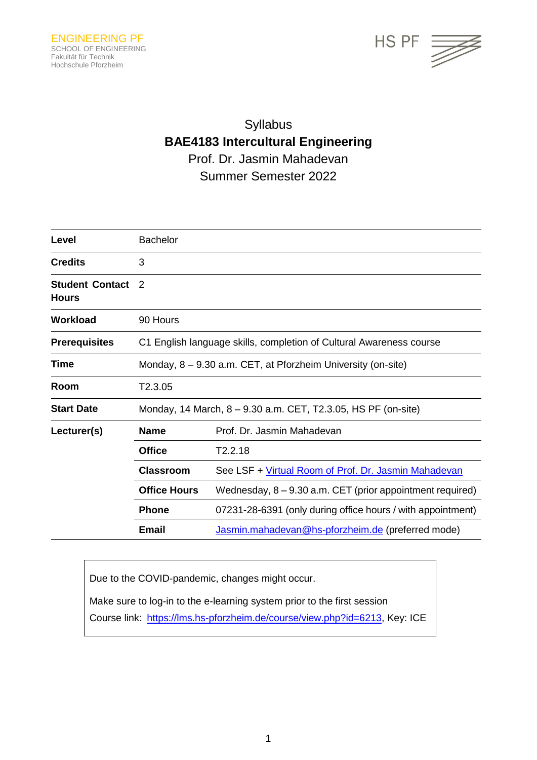

# Syllabus **BAE4183 Intercultural Engineering** Prof. Dr. Jasmin Mahadevan Summer Semester 2022

| Level                                  | <b>Bachelor</b>                                                     |                                                             |
|----------------------------------------|---------------------------------------------------------------------|-------------------------------------------------------------|
| <b>Credits</b>                         | 3                                                                   |                                                             |
| <b>Student Contact</b><br><b>Hours</b> | 2                                                                   |                                                             |
| <b>Workload</b>                        | 90 Hours                                                            |                                                             |
| <b>Prerequisites</b>                   | C1 English language skills, completion of Cultural Awareness course |                                                             |
| Time                                   | Monday, $8 - 9.30$ a.m. CET, at Pforzheim University (on-site)      |                                                             |
| Room                                   | T2.3.05                                                             |                                                             |
| <b>Start Date</b>                      | Monday, 14 March, 8 – 9.30 a.m. CET, T2.3.05, HS PF (on-site)       |                                                             |
| Lecturer(s)                            | <b>Name</b>                                                         | Prof. Dr. Jasmin Mahadevan                                  |
|                                        | <b>Office</b>                                                       | T2.2.18                                                     |
|                                        | <b>Classroom</b>                                                    | See LSF + Virtual Room of Prof. Dr. Jasmin Mahadevan        |
|                                        | <b>Office Hours</b>                                                 | Wednesday, 8 – 9.30 a.m. CET (prior appointment required)   |
|                                        | <b>Phone</b>                                                        | 07231-28-6391 (only during office hours / with appointment) |
|                                        | <b>Email</b>                                                        | Jasmin.mahadevan@hs-pforzheim.de (preferred mode)           |

Due to the COVID-pandemic, changes might occur.

Make sure to log-in to the e-learning system prior to the first session

Course link: [https://lms.hs-pforzheim.de/course/view.php?id=6213,](https://lms.hs-pforzheim.de/course/view.php?id=6213) Key: ICE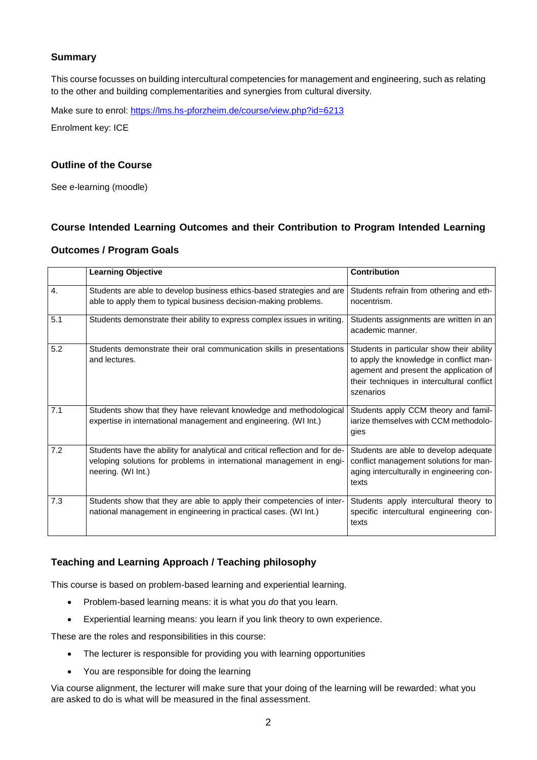## **Summary**

This course focusses on building intercultural competencies for management and engineering, such as relating to the other and building complementarities and synergies from cultural diversity.

Make sure to enrol:<https://lms.hs-pforzheim.de/course/view.php?id=6213>

Enrolment key: ICE

### **Outline of the Course**

See e-learning (moodle)

### **Course Intended Learning Outcomes and their Contribution to Program Intended Learning**

## **Outcomes / Program Goals**

|     | <b>Learning Objective</b>                                                                                                                                                  | <b>Contribution</b>                                                                                                                                                                       |
|-----|----------------------------------------------------------------------------------------------------------------------------------------------------------------------------|-------------------------------------------------------------------------------------------------------------------------------------------------------------------------------------------|
| 4.  | Students are able to develop business ethics-based strategies and are<br>able to apply them to typical business decision-making problems.                                  | Students refrain from othering and eth-<br>nocentrism.                                                                                                                                    |
| 5.1 | Students demonstrate their ability to express complex issues in writing.                                                                                                   | Students assignments are written in an<br>academic manner.                                                                                                                                |
| 5.2 | Students demonstrate their oral communication skills in presentations<br>and lectures.                                                                                     | Students in particular show their ability<br>to apply the knowledge in conflict man-<br>agement and present the application of<br>their techniques in intercultural conflict<br>szenarios |
| 7.1 | Students show that they have relevant knowledge and methodological<br>expertise in international management and engineering. (WI Int.)                                     | Students apply CCM theory and famil-<br>iarize themselves with CCM methodolo-<br>gies                                                                                                     |
| 7.2 | Students have the ability for analytical and critical reflection and for de-<br>veloping solutions for problems in international management in engi-<br>neering. (WI Int.) | Students are able to develop adequate<br>conflict management solutions for man-<br>aging interculturally in engineering con-<br>texts                                                     |
| 7.3 | Students show that they are able to apply their competencies of inter-<br>national management in engineering in practical cases. (WI Int.)                                 | Students apply intercultural theory to<br>specific intercultural engineering con-<br>texts                                                                                                |

### **Teaching and Learning Approach / Teaching philosophy**

This course is based on problem-based learning and experiential learning.

- Problem-based learning means: it is what you *do* that you learn.
- Experiential learning means: you learn if you link theory to own experience.

These are the roles and responsibilities in this course:

- The lecturer is responsible for providing you with learning opportunities
- You are responsible for doing the learning

Via course alignment, the lecturer will make sure that your doing of the learning will be rewarded: what you are asked to do is what will be measured in the final assessment.